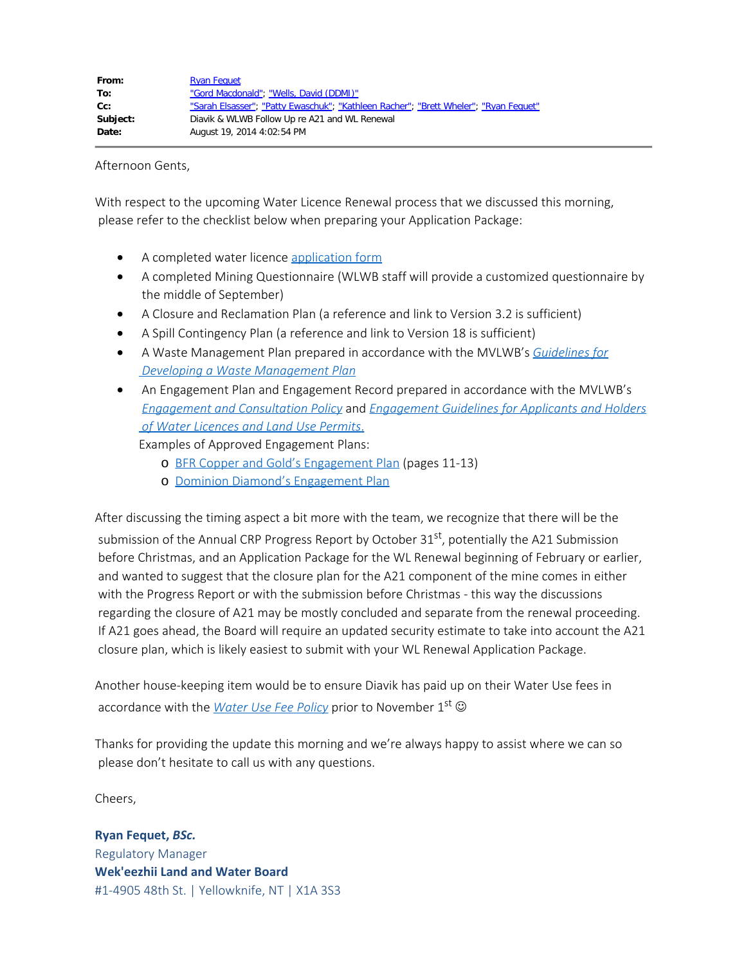Afternoon Gents,

With respect to the upcoming Water Licence Renewal process that we discussed this morning, please refer to the checklist below when preparing your Application Package:

- A completed water licence [application form](http://wlwb.ca/sites/default/files/wlwb/documents/Water%20Licence%20-%20Application%20Form%20-%20June%202014.doc)
- · A completed Mining Questionnaire (WLWB staff will provide a customized questionnaire by the middle of September)
- · A Closure and Reclamation Plan (a reference and link to Version 3.2 is sufficient)
- · A Spill Contingency Plan (a reference and link to Version 18 is sufficient)
- · A Waste Management Plan prepared in accordance with the MVLWB's *[Guidelines for](http://mvlwb.com/sites/default/files/documents/MVLWB-Guidelines-for-Developing-a-Waste-Management-Plan-Mar-31_11-JCWG.pdf)  [Developing a Waste Management Plan](http://mvlwb.com/sites/default/files/documents/MVLWB-Guidelines-for-Developing-a-Waste-Management-Plan-Mar-31_11-JCWG.pdf)*
- · An Engagement Plan and Engagement Record prepared in accordance with the MVLWB's *[Engagement and Consultation Policy](http://wlwb.ca/sites/default/files/documents/wg/MVLWB%20Engagement%20and%20Consultation%20Policy%20-%20May%2015.pdf)* and *[Engagement Guidelines for Applicants and Holders](http://wlwb.ca/sites/default/files/documents/wg/MVLWB%20Engagement%20Guidelines%20for%20Holders%20of%20LUPs%20and%20WLs%20-%20Jun%201_13.pdf)  [of Water Licences and Land Use Permits](http://wlwb.ca/sites/default/files/documents/wg/MVLWB%20Engagement%20Guidelines%20for%20Holders%20of%20LUPs%20and%20WLs%20-%20Jun%201_13.pdf)*.

Examples of Approved Engagement Plans:

- o [BFR Copper and Gold's Engagement Plan](http://www.mvlwb.ca/Boards/WLWB/Registry/2013/W2013C0002/W2013C0002%20-%20Mazenod%20-%20Engagement%20Plan%20-%20Nov%2015_13.pdf) (pages 11-13)
- o [Dominion Diamond's Engagement Plan](http://www.mvlwb.ca/Boards/WLWB/Registry/2012/W2012L2-0001/W2012L2-0001%20-%20Ekati%20-%20Community%20Engagement%20Plan%20-%20Version%202.0%20-%20Feb%2028_14.pdf)

After discussing the timing aspect a bit more with the team, we recognize that there will be the submission of the Annual CRP Progress Report by October 31<sup>st</sup>, potentially the A21 Submission before Christmas, and an Application Package for the WL Renewal beginning of February or earlier, and wanted to suggest that the closure plan for the A21 component of the mine comes in either with the Progress Report or with the submission before Christmas - this way the discussions regarding the closure of A21 may be mostly concluded and separate from the renewal proceeding. If A21 goes ahead, the Board will require an updated security estimate to take into account the A21 closure plan, which is likely easiest to submit with your WL Renewal Application Package.

Another house-keeping item would be to ensure Diavik has paid up on their Water Use fees in accordance with the *[Water Use Fee Policy](http://wlwb.ca/sites/default/files/mvlwb/documents/Water%20Use%20Fee%20Policy%20-%20Feb%2013-13.pdf)* prior to November 1<sup>st</sup>  $\circledcirc$ 

Thanks for providing the update this morning and we're always happy to assist where we can so please don't hesitate to call us with any questions.

Cheers,

**Ryan Fequet,** *BSc.* Regulatory Manager **Wek'eezhii Land and Water Board** #1-4905 48th St. | Yellowknife, NT | X1A 3S3